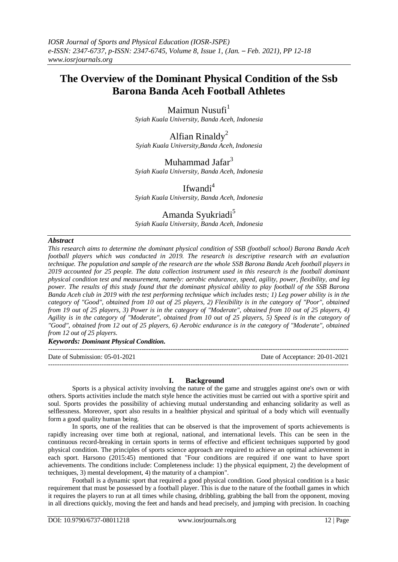# **The Overview of the Dominant Physical Condition of the Ssb Barona Banda Aceh Football Athletes**

Maimun Nusufi $<sup>1</sup>$ </sup>

*Syiah Kuala University, Banda Aceh, Indonesia*

Alfian Rinaldy<sup>2</sup> *Syiah Kuala University,Banda Aceh, Indonesia*

Muhammad Jafar $3$ 

*Syiah Kuala University, Banda Aceh, Indonesia*

Ifwandi<sup>4</sup>

*Syiah Kuala University, Banda Aceh, Indonesia*

# Amanda Syukriadi<sup>5</sup>

*Syiah Kuala University, Banda Aceh, Indonesia*

#### *Abstract*

*This research aims to determine the dominant physical condition of SSB (football school) Barona Banda Aceh football players which was conducted in 2019. The research is descriptive research with an evaluation technique. The population and sample of the research are the whole SSB Barona Banda Aceh football players in 2019 accounted for 25 people. The data collection instrument used in this research is the football dominant physical condition test and measurement, namely: aerobic endurance, speed, agility, power, flexibility, and leg power. The results of this study found that the dominant physical ability to play football of the SSB Barona Banda Aceh club in 2019 with the test performing technique which includes tests; 1) Leg power ability is in the category of "Good", obtained from 10 out of 25 players, 2) Flexibility is in the category of "Poor", obtained from 19 out of 25 players, 3) Power is in the category of "Moderate", obtained from 10 out of 25 players, 4) Agility is in the category of "Moderate", obtained from 10 out of 25 players, 5) Speed is in the category of "Good", obtained from 12 out of 25 players, 6) Aerobic endurance is in the category of "Moderate", obtained from 12 out of 25 players.*

*Keywords: Dominant Physical Condition.*

--------------------------------------------------------------------------------------------------------------------------------------- Date of Submission: 05-01-2021 Date of Acceptance: 20-01-2021

# **I. Background**

---------------------------------------------------------------------------------------------------------------------------------------

Sports is a physical activity involving the nature of the game and struggles against one's own or with others. Sports activities include the match style hence the activities must be carried out with a sportive spirit and soul. Sports provides the possibility of achieving mutual understanding and enhancing solidarity as well as selflessness. Moreover, sport also results in a healthier physical and spiritual of a body which will eventually form a good quality human being.

In sports, one of the realities that can be observed is that the improvement of sports achievements is rapidly increasing over time both at regional, national, and international levels. This can be seen in the continuous record-breaking in certain sports in terms of effective and efficient techniques supported by good physical condition. The principles of sports science approach are required to achieve an optimal achievement in each sport. Harsono (2015:45) mentioned that "Four conditions are required if one want to have sport achievements. The conditions include: Completeness include: 1) the physical equipment, 2) the development of techniques, 3) mental development, 4) the maturity of a champion".

Football is a dynamic sport that required a good physical condition. Good physical condition is a basic requirement that must be possessed by a football player. This is due to the nature of the football games in which it requires the players to run at all times while chasing, dribbling, grabbing the ball from the opponent, moving in all directions quickly, moving the feet and hands and head precisely, and jumping with precision. In coaching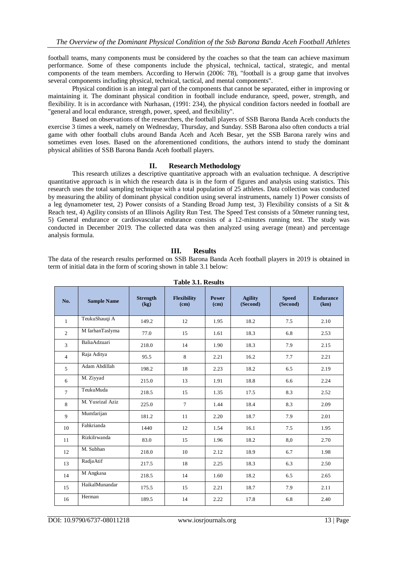football teams, many components must be considered by the coaches so that the team can achieve maximum performance. Some of these components include the physical, technical, tactical, strategic, and mental components of the team members. According to Herwin (2006: 78), "football is a group game that involves several components including physical, technical, tactical, and mental components".

Physical condition is an integral part of the components that cannot be separated, either in improving or maintaining it. The dominant physical condition in football include endurance, speed, power, strength, and flexibility. It is in accordance with Nurhasan, (1991: 234), the physical condition factors needed in football are "general and local endurance, strength, power, speed, and flexibility".

Based on observations of the researchers, the football players of SSB Barona Banda Aceh conducts the exercise 3 times a week, namely on Wednesday, Thursday, and Sunday. SSB Barona also often conducts a trial game with other football clubs around Banda Aceh and Aceh Besar, yet the SSB Barona rarely wins and sometimes even loses. Based on the aforementioned conditions, the authors intend to study the dominant physical abilities of SSB Barona Banda Aceh football players.

#### **II. Research Methodology**

This research utilizes a descriptive quantitative approach with an evaluation technique. A descriptive quantitative approach is in which the research data is in the form of figures and analysis using statistics. This research uses the total sampling technique with a total population of 25 athletes. Data collection was conducted by measuring the ability of dominant physical condition using several instruments, namely 1) Power consists of a leg dynamometer test, 2) Power consists of a Standing Broad Jump test, 3) Flexibility consists of a Sit & Reach test, 4) Agility consists of an Illinois Agility Run Test. The Speed Test consists of a 50meter running test, 5) General endurance or cardiovascular endurance consists of a 12-minutes running test. The study was conducted in December 2019. The collected data was then analyzed using average (mean) and percentage analysis formula.

# **III. Results**

The data of the research results performed on SSB Barona Banda Aceh football players in 2019 is obtained in term of initial data in the form of scoring shown in table 3.1 below:

| Table 5.1, Results |                    |                         |                            |               |                            |                          |                          |
|--------------------|--------------------|-------------------------|----------------------------|---------------|----------------------------|--------------------------|--------------------------|
| No.                | <b>Sample Name</b> | <b>Strength</b><br>(kg) | <b>Flexibility</b><br>(cm) | Power<br>(cm) | <b>Agility</b><br>(Second) | <b>Speed</b><br>(Second) | <b>Endurance</b><br>(km) |
| $\mathbf{1}$       | TeukuShauqi A      | 149.2                   | 12                         | 1.95          | 18.2                       | 7.5                      | 2.10                     |
| $\overline{2}$     | M farhanTaslyma    | 77.0                    | 15                         | 1.61          | 18.3                       | 6.8                      | 2.53                     |
| 3                  | BaliaAdzuari       | 218.0                   | 14                         | 1.90          | 18.3                       | 7.9                      | 2.15                     |
| $\overline{4}$     | Raja Aditya        | 95.5                    | 8                          | 2.21          | 16.2                       | 7.7                      | 2.21                     |
| 5                  | Adam Abdillah      | 198.2                   | 18                         | 2.23          | 18.2                       | 6.5                      | 2.19                     |
| 6                  | M. Ziyyad          | 215.0                   | 13                         | 1.91          | 18.8                       | 6.6                      | 2.24                     |
| $\tau$             | TeukuMuda          | 218.5                   | 15                         | 1.35          | 17.5                       | 8.3                      | 2.52                     |
| 8                  | M. Yusrizal Aziz   | 225.0                   | $\tau$                     | 1.44          | 18.4                       | 8.3                      | 2.09                     |
| $\mathbf{Q}$       | Mumfarijan         | 181.2                   | 11                         | 2.20          | 18.7                       | 7.9                      | 2.01                     |
| 10                 | Fahkrianda         | 1440                    | 12                         | 1.54          | 16.1                       | 7.5                      | 1.95                     |
| 11                 | RizkiIrwanda       | 83.0                    | 15                         | 1.96          | 18.2                       | 8,0                      | 2.70                     |
| 12                 | M. Subhan          | 218.0                   | 10                         | 2.12          | 18.9                       | 6.7                      | 1.98                     |
| 13                 | RadjaAtif          | 217.5                   | 18                         | 2.25          | 18.3                       | 6.3                      | 2.50                     |
| 14                 | M Angkasa          | 218.5                   | 14                         | 1.60          | 18.2                       | 6.5                      | 2.65                     |
| 15                 | HaikalMunandar     | 175.5                   | 15                         | 2.21          | 18.7                       | 7.9                      | 2.11                     |
| 16                 | Herman             | 189.5                   | 14                         | 2.22          | 17.8                       | 6.8                      | 2.40                     |

**Table 3.1. Results**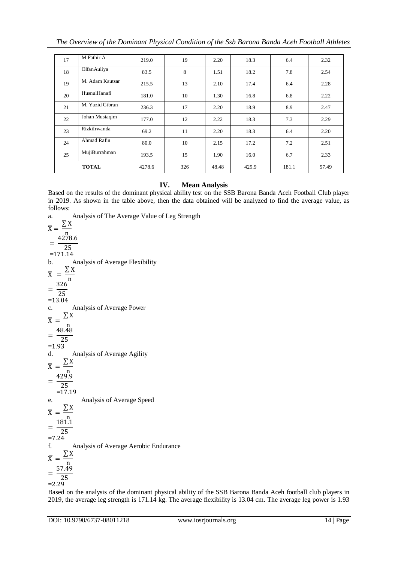| 17 | M Fathir A      | 219.0  | 19  | 2.20  | 18.3  | 6.4   | 2.32  |
|----|-----------------|--------|-----|-------|-------|-------|-------|
| 18 | OlfanAuliya     | 83.5   | 8   | 1.51  | 18.2  | 7.8   | 2.54  |
| 19 | M. Adam Kautsar | 215.5  | 13  | 2.10  | 17.4  | 6.4   | 2.28  |
| 20 | HusnulHanafi    | 181.0  | 10  | 1.30  | 16.8  | 6.8   | 2.22  |
| 21 | M. Yazid Gibran | 236.3  | 17  | 2.20  | 18.9  | 8.9   | 2.47  |
| 22 | Johan Mustaqim  | 177.0  | 12  | 2.22  | 18.3  | 7.3   | 2.29  |
| 23 | RizkiIrwanda    | 69.2   | 11  | 2.20  | 18.3  | 6.4   | 2.20  |
| 24 | Ahmad Rafin     | 80.0   | 10  | 2.15  | 17.2  | 7.2   | 2.51  |
| 25 | MujiBurrahman   | 193.5  | 15  | 1.90  | 16.0  | 6.7   | 2.33  |
|    | <b>TOTAL</b>    | 4278.6 | 326 | 48.48 | 429.9 | 181.1 | 57.49 |

# **IV. Mean Analysis**

Based on the results of the dominant physical ability test on the SSB Barona Banda Aceh Football Club player in 2019. As shown in the table above, then the data obtained will be analyzed to find the average value, as follows:

a. Analysis of The Average Value of Leg Strength  $\overline{X} = \frac{2}{\overline{y}}$  $\overline{X} = \frac{\sum X}{\sum X}$  $=$  $\frac{4}{1}$  $\overline{25}$  $=171.14$ b. Analysis of Average Flexibility  $\overline{X}$ Σ  $\overline{\mathbf{n}}$  $\hspace{1.6cm} = \hspace{1.6cm}$ 3  $\overline{c}$  $= 13.04$ c. Analysis of Average Power X Σ ņ  $=\frac{4}{1}$  $\overline{c}$  $=1$ d. Analysis of Average Agility  $\overline{X}$ Σ n  $=$  $\frac{4}{1}$  $\overline{c}$  $=1$ e. Analysis of Average Speed  $\overline{X}$ Σ  $\mathbf{n}$  $=$  $\frac{1}{1}$  $\overline{c}$  $=7.24$ f. Analysis of Average Aerobic Endurance  $\overline{X} = \frac{2}{n}$  $\overline{X} = \frac{\sum X}{\sum X}$  $=$  $\frac{5}{1}$  $\overline{c}$  $=2.29$ 

Based on the analysis of the dominant physical ability of the SSB Barona Banda Aceh football club players in 2019, the average leg strength is 171.14 kg. The average flexibility is 13.04 cm. The average leg power is 1.93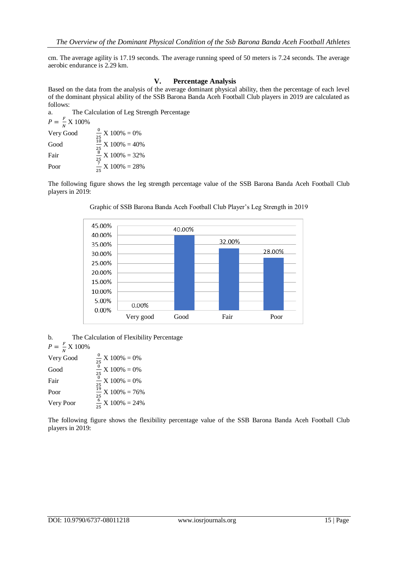cm. The average agility is 17.19 seconds. The average running speed of 50 meters is 7.24 seconds. The average aerobic endurance is 2.29 km.

#### **V. Percentage Analysis**

Based on the data from the analysis of the average dominant physical ability, then the percentage of each level of the dominant physical ability of the SSB Barona Banda Aceh Football Club players in 2019 are calculated as follows:

a. The Calculation of Leg Strength Percentage  $P = \frac{F}{N}$  $\frac{r}{N}$  X 100% Very Good  $\frac{0}{25}$  X 100% = 0% Good  $\frac{10}{25}$  X 100% = 40% Fair  $\frac{8}{25}$  X 100% = 32%

 $\frac{7}{25}$  X 100% = 28%

The following figure shows the leg strength percentage value of the SSB Barona Banda Aceh Football Club players in 2019:



Graphic of SSB Barona Banda Aceh Football Club Player's Leg Strength in 2019

b. The Calculation of Flexibility Percentage

 $P = \frac{F}{W}$  $\frac{r}{N}$  X 100%

Poor

| Very Good | $\frac{0}{25}$ X 100% = 0%   |
|-----------|------------------------------|
| Good      | $\frac{0}{25}$ X 100% = 0%   |
| Fair      | $\frac{0}{25}$ X 100% = 0%   |
| Poor      | $\frac{19}{25}$ X 100% = 76% |
| Very Poor | $\frac{6}{5}$ X 100% = 24%   |

The following figure shows the flexibility percentage value of the SSB Barona Banda Aceh Football Club players in 2019: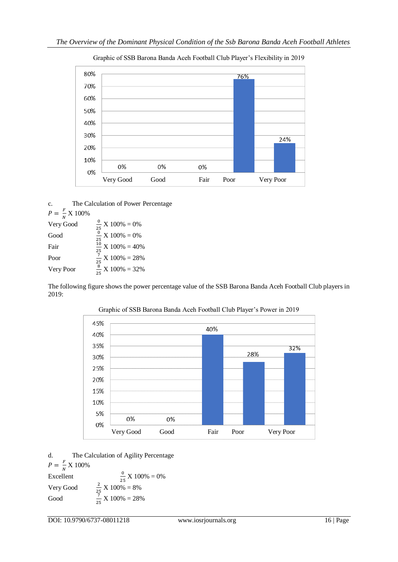

# Graphic of SSB Barona Banda Aceh Football Club Player's Flexibility in 2019

| $\mathbf{c}$ .                 | The Calculation of Power Percentage |
|--------------------------------|-------------------------------------|
| $P = \frac{F}{N} \times 100\%$ |                                     |
| Very Good                      | $\frac{0}{25}$ X 100% = 0%          |
| Good                           | $\frac{6}{9}$ X 100% = 0%<br>25     |
| Fair                           | $\frac{10}{1}$ X 100% = 40%<br>25   |
| Poor                           | $\frac{7}{12}$ X 100% = 28%<br>25   |
| Very Poor                      | $\frac{8}{25}$ X 100% = 32%         |

The following figure shows the power percentage value of the SSB Barona Banda Aceh Football Club players in 2019:



# Graphic of SSB Barona Banda Aceh Football Club Player's Power in 2019

d. The Calculation of Agility Percentage

 $P = \frac{F}{W}$  $\frac{r}{N}$  X 100%

Excellent  $\frac{0}{25}$  X 100% = 0% Very Good  $\frac{2}{25}$  X 100% = 8% Good  $\frac{7}{25}$  X 100% = 28%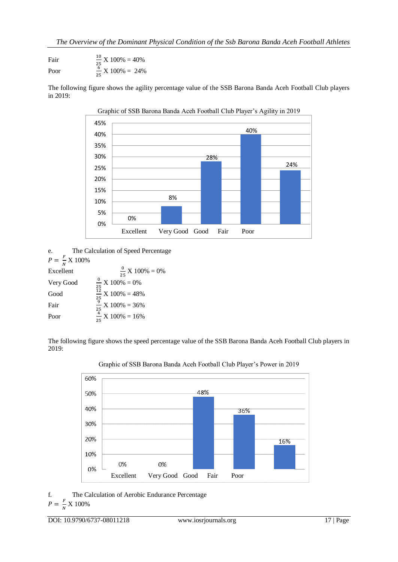Fair  $\frac{10}{25}$  X 100% = 40% Poor  $\frac{6}{25}$  X 100% = 24%

The following figure shows the agility percentage value of the SSB Barona Banda Aceh Football Club players in 2019:



Graphic of SSB Barona Banda Aceh Football Club Player's Agility in 2019

| e.                             | The Calculation of Speed Percentage |
|--------------------------------|-------------------------------------|
| $P = \frac{F}{N} \times 100\%$ |                                     |
| Excellent                      | $\frac{0}{25}$ X 100% = 0%          |
| Very Good                      | $\frac{0}{25}$ X 100% = 0%          |
| Good                           | $\frac{12}{12}$ X 100% = 48%        |

 $\frac{12}{25}$  X 100% = 48% Fair  $\frac{3}{25}$  X 100% = 36% Poor  $\frac{4}{25}$  X 100% = 16%

The following figure shows the speed percentage value of the SSB Barona Banda Aceh Football Club players in 2019:





f. The Calculation of Aerobic Endurance Percentage

$$
P = \frac{F}{N} \times 100\%
$$